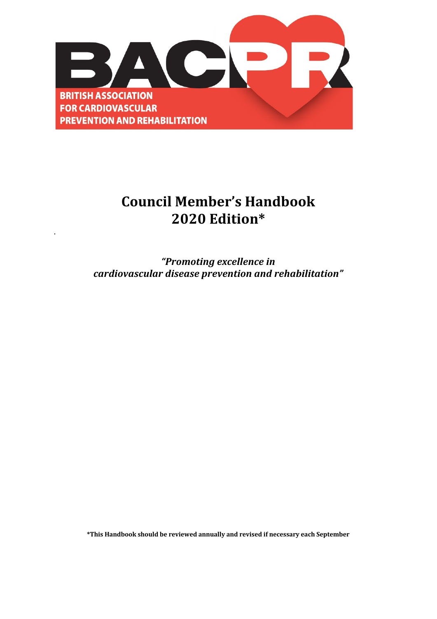

## **Council Member's Handbook 2020 Edition\***

.

*"Promoting excellence in cardiovascular disease prevention and rehabilitation"*

**\*This Handbook should be reviewed annually and revised if necessary each September**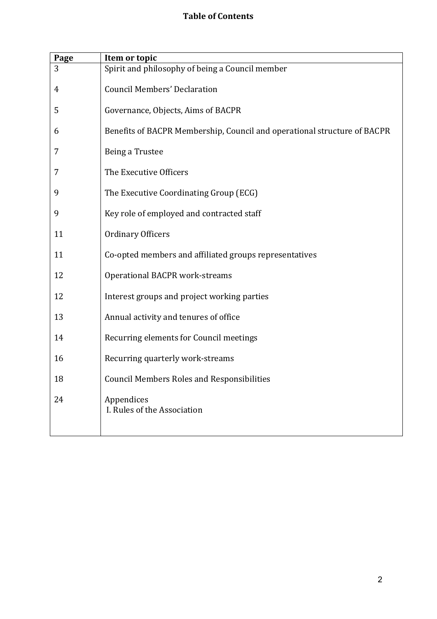## **Table of Contents**

| Page | Item or topic                                                            |
|------|--------------------------------------------------------------------------|
| 3    | Spirit and philosophy of being a Council member                          |
| 4    | <b>Council Members' Declaration</b>                                      |
| 5    | Governance, Objects, Aims of BACPR                                       |
| 6    | Benefits of BACPR Membership, Council and operational structure of BACPR |
| 7    | Being a Trustee                                                          |
| 7    | The Executive Officers                                                   |
| 9    | The Executive Coordinating Group (ECG)                                   |
| 9    | Key role of employed and contracted staff                                |
| 11   | <b>Ordinary Officers</b>                                                 |
| 11   | Co-opted members and affiliated groups representatives                   |
| 12   | <b>Operational BACPR work-streams</b>                                    |
| 12   | Interest groups and project working parties                              |
| 13   | Annual activity and tenures of office                                    |
| 14   | Recurring elements for Council meetings                                  |
| 16   | Recurring quarterly work-streams                                         |
| 18   | <b>Council Members Roles and Responsibilities</b>                        |
| 24   | Appendices<br>I. Rules of the Association                                |
|      |                                                                          |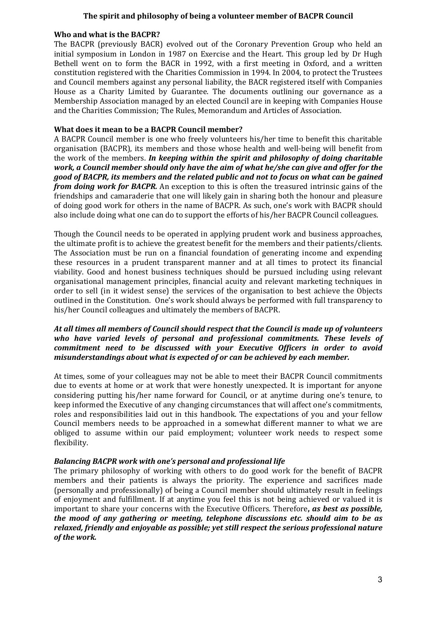#### The spirit and philosophy of being a volunteer member of BACPR Council

#### **Who and what is the BACPR?**

The BACPR (previously BACR) evolved out of the Coronary Prevention Group who held an initial symposium in London in 1987 on Exercise and the Heart. This group led by Dr Hugh Bethell went on to form the BACR in 1992, with a first meeting in Oxford, and a written constitution registered with the Charities Commission in 1994. In 2004, to protect the Trustees and Council members against any personal liability, the BACR registered itself with Companies House as a Charity Limited by Guarantee. The documents outlining our governance as a Membership Association managed by an elected Council are in keeping with Companies House and the Charities Commission; The Rules, Memorandum and Articles of Association.

#### **What does it mean to be a BACPR Council member?**

A BACPR Council member is one who freely volunteers his/her time to benefit this charitable organisation (BACPR), its members and those whose health and well-being will benefit from the work of the members. *In keeping within the spirit and philosophy of doing charitable work, a Council member should only have the aim of what he/she can give and offer for the good* of BACPR, its members and the related public and not to focus on what can be gained *from doing work for BACPR.* An exception to this is often the treasured intrinsic gains of the friendships and camaraderie that one will likely gain in sharing both the honour and pleasure of doing good work for others in the name of BACPR. As such, one's work with BACPR should also include doing what one can do to support the efforts of his/her BACPR Council colleagues.

Though the Council needs to be operated in applying prudent work and business approaches, the ultimate profit is to achieve the greatest benefit for the members and their patients/clients. The Association must be run on a financial foundation of generating income and expending these resources in a prudent transparent manner and at all times to protect its financial viability. Good and honest business techniques should be pursued including using relevant organisational management principles, financial acuity and relevant marketing techniques in order to sell (in it widest sense) the services of the organisation to best achieve the Objects outlined in the Constitution. One's work should always be performed with full transparency to his/her Council colleagues and ultimately the members of BACPR.

#### At all times all members of Council should respect that the Council is made up of volunteers who have varied levels of personal and professional commitments. These levels of *commitment need to be discussed with your Executive Officers in order to avoid misunderstandings about what is expected of or can be achieved by each member.*

At times, some of your colleagues may not be able to meet their BACPR Council commitments due to events at home or at work that were honestly unexpected. It is important for anyone considering putting his/her name forward for Council, or at anytime during one's tenure, to keep informed the Executive of any changing circumstances that will affect one's commitments, roles and responsibilities laid out in this handbook. The expectations of you and your fellow Council members needs to be approached in a somewhat different manner to what we are obliged to assume within our paid employment; volunteer work needs to respect some flexibility.

#### **Balancing BACPR work with one's personal and professional life**

The primary philosophy of working with others to do good work for the benefit of BACPR members and their patients is always the priority. The experience and sacrifices made (personally and professionally) of being a Council member should ultimately result in feelings of enjoyment and fulfillment. If at anytime you feel this is not being achieved or valued it is important to share your concerns with the Executive Officers. Therefore, *as best as possible*, *the mood of any gathering or meeting, telephone discussions etc. should aim to be as relaxed, friendly and enjoyable as possible; yet still respect the serious professional nature of the work.*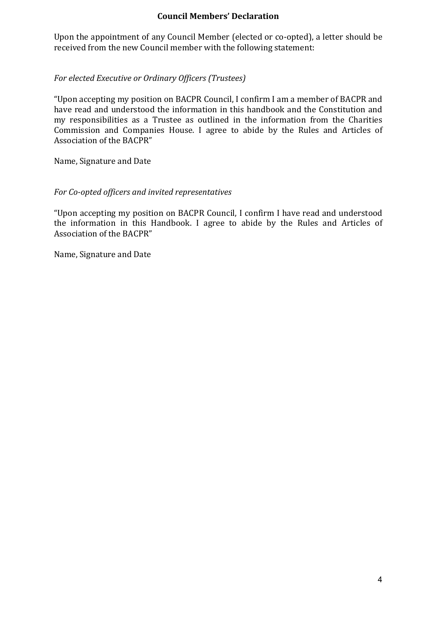#### **Council Members' Declaration**

Upon the appointment of any Council Member (elected or co-opted), a letter should be received from the new Council member with the following statement:

#### For elected *Executive* or *Ordinary Officers* (Trustees)

"Upon accepting my position on BACPR Council, I confirm I am a member of BACPR and have read and understood the information in this handbook and the Constitution and my responsibilities as a Trustee as outlined in the information from the Charities Commission and Companies House. I agree to abide by the Rules and Articles of Association of the BACPR"

Name, Signature and Date

#### *For Co-opted officers and invited representatives*

"Upon accepting my position on BACPR Council, I confirm I have read and understood the information in this Handbook. I agree to abide by the Rules and Articles of Association of the BACPR"

Name, Signature and Date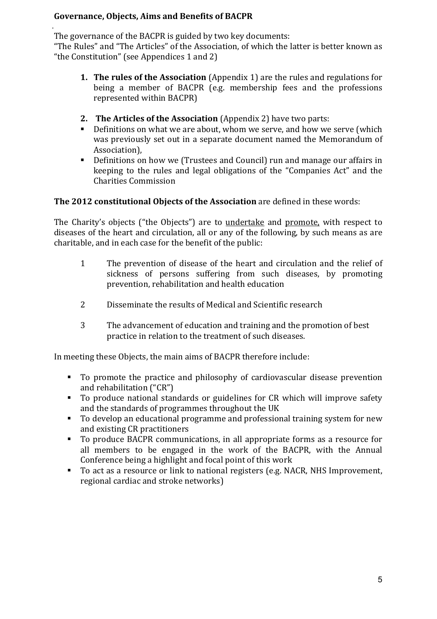## **Governance, Objects, Aims and Benefits of BACPR**

. The governance of the BACPR is guided by two key documents:

"The Rules" and "The Articles" of the Association, of which the latter is better known as "the Constitution" (see Appendices  $1$  and  $2$ )

- **1. The rules of the Association** (Appendix 1) are the rules and regulations for being a member of BACPR (e.g. membership fees and the professions represented within BACPR)
- **2. The Articles of the Association** (Appendix 2) have two parts:
- Definitions on what we are about, whom we serve, and how we serve (which was previously set out in a separate document named the Memorandum of Association),
- Definitions on how we (Trustees and Council) run and manage our affairs in keeping to the rules and legal obligations of the "Companies Act" and the Charities Commission

## **The 2012 constitutional Objects of the Association** are defined in these words:

The Charity's objects ("the Objects") are to undertake and promote, with respect to diseases of the heart and circulation, all or any of the following, by such means as are charitable, and in each case for the benefit of the public:

- 1 The prevention of disease of the heart and circulation and the relief of sickness of persons suffering from such diseases, by promoting prevention, rehabilitation and health education
- 2 Disseminate the results of Medical and Scientific research
- 3 The advancement of education and training and the promotion of best practice in relation to the treatment of such diseases.

In meeting these Objects, the main aims of BACPR therefore include:

- To promote the practice and philosophy of cardiovascular disease prevention and rehabilitation ("CR")
- To produce national standards or guidelines for CR which will improve safety and the standards of programmes throughout the UK
- To develop an educational programme and professional training system for new and existing CR practitioners
- To produce BACPR communications, in all appropriate forms as a resource for all members to be engaged in the work of the BACPR, with the Annual Conference being a highlight and focal point of this work
- To act as a resource or link to national registers (e.g. NACR, NHS Improvement, regional cardiac and stroke networks)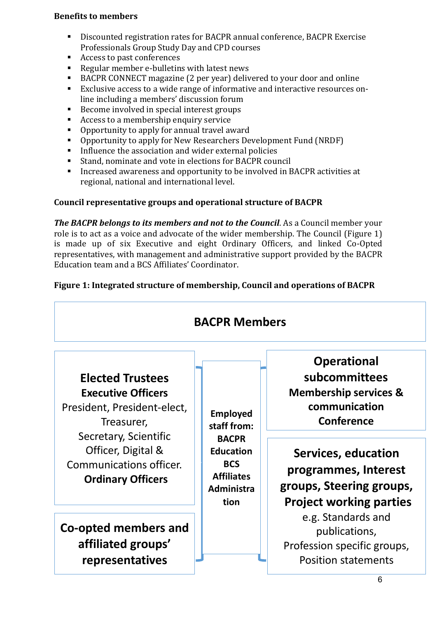### **Benefits to members**

- Discounted registration rates for BACPR annual conference, BACPR Exercise Professionals Group Study Day and CPD courses
- Access to past conferences
- Regular member e-bulletins with latest news
- BACPR CONNECT magazine (2 per year) delivered to your door and online
- Exclusive access to a wide range of informative and interactive resources online including a members' discussion forum
- Become involved in special interest groups
- Access to a membership enquiry service
- Opportunity to apply for annual travel award
- Opportunity to apply for New Researchers Development Fund (NRDF)
- Influence the association and wider external policies
- Stand, nominate and vote in elections for BACPR council
- Increased awareness and opportunity to be involved in BACPR activities at regional, national and international level.

## **Council representative groups and operational structure of BACPR**

*The BACPR belongs to its members and not to the Council.* As a Council member your role is to act as a voice and advocate of the wider membership. The Council (Figure 1) is made up of six Executive and eight Ordinary Officers, and linked Co-Opted representatives, with management and administrative support provided by the BACPR Education team and a BCS Affiliates' Coordinator

## Figure 1: Integrated structure of membership, Council and operations of BACPR

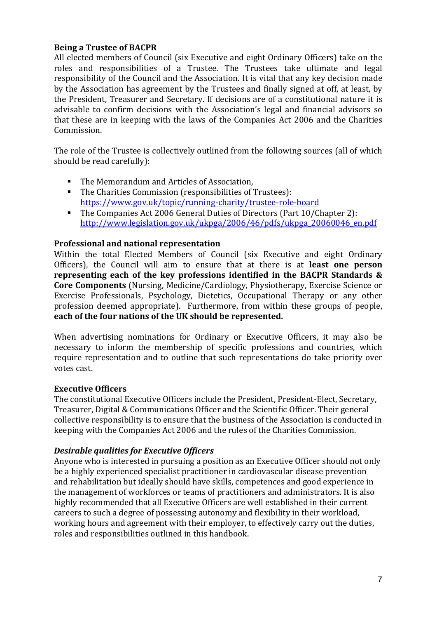## **Being a Trustee of BACPR**

All elected members of Council (six Executive and eight Ordinary Officers) take on the roles and responsibilities of a Trustee. The Trustees take ultimate and legal responsibility of the Council and the Association. It is vital that any key decision made by the Association has agreement by the Trustees and finally signed at off, at least, by the President, Treasurer and Secretary. If decisions are of a constitutional nature it is advisable to confirm decisions with the Association's legal and financial advisors so that these are in keeping with the laws of the Companies Act 2006 and the Charities Commission.

The role of the Trustee is collectively outlined from the following sources (all of which should be read carefully):

- The Memorandum and Articles of Association.
- The Charities Commission (responsibilities of Trustees): https://www.gov.uk/topic/running-charity/trustee-role-board
- The Companies Act 2006 General Duties of Directors (Part 10/Chapter 2): http://www.legislation.gov.uk/ukpga/2006/46/pdfs/ukpga\_20060046\_en.pdf

#### **Professional and national representation**

Within the total Elected Members of Council (six Executive and eight Ordinary Officers), the Council will aim to ensure that at there is at **least one person** representing each of the key professions identified in the BACPR Standards & **Core Components** (Nursing, Medicine/Cardiology, Physiotherapy, Exercise Science or Exercise Professionals, Psychology, Dietetics, Occupational Therapy or any other profession deemed appropriate). Furthermore, from within these groups of people, each of the four nations of the UK should be represented.

When advertising nominations for Ordinary or Executive Officers, it may also be necessary to inform the membership of specific professions and countries, which require representation and to outline that such representations do take priority over votes cast.

#### **Executive Officers**

The constitutional Executive Officers include the President, President-Elect, Secretary, Treasurer, Digital & Communications Officer and the Scientific Officer. Their general collective responsibility is to ensure that the business of the Association is conducted in keeping with the Companies Act 2006 and the rules of the Charities Commission.

#### *Desirable qualities for Executive Officers*

Anyone who is interested in pursuing a position as an Executive Officer should not only be a highly experienced specialist practitioner in cardiovascular disease prevention and rehabilitation but ideally should have skills, competences and good experience in the management of workforces or teams of practitioners and administrators. It is also highly recommended that all Executive Officers are well established in their current careers to such a degree of possessing autonomy and flexibility in their workload, working hours and agreement with their employer, to effectively carry out the duties, roles and responsibilities outlined in this handbook.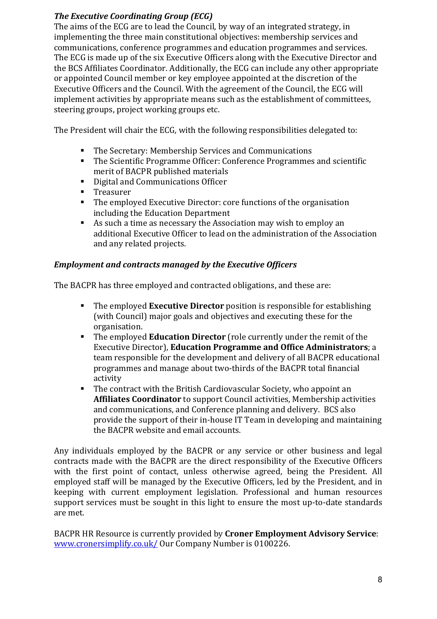## **The Executive Coordinating Group (ECG)**

The aims of the ECG are to lead the Council, by way of an integrated strategy, in implementing the three main constitutional objectives: membership services and communications, conference programmes and education programmes and services. The ECG is made up of the six Executive Officers along with the Executive Director and the BCS Affiliates Coordinator. Additionally, the ECG can include any other appropriate or appointed Council member or key employee appointed at the discretion of the Executive Officers and the Council. With the agreement of the Council, the ECG will implement activities by appropriate means such as the establishment of committees, steering groups, project working groups etc.

The President will chair the ECG, with the following responsibilities delegated to:

- The Secretary: Membership Services and Communications
- The Scientific Programme Officer: Conference Programmes and scientific merit of BACPR published materials
- Digital and Communications Officer
- § Treasurer
- The employed Executive Director: core functions of the organisation including the Education Department
- As such a time as necessary the Association may wish to employ an additional Executive Officer to lead on the administration of the Association and any related projects.

## *Employment and contracts managed by the Executive Officers*

The BACPR has three employed and contracted obligations, and these are:

- The employed **Executive Director** position is responsible for establishing (with Council) major goals and objectives and executing these for the organisation.
- **•** The employed **Education Director** (role currently under the remit of the Executive Director), **Education Programme and Office Administrators**; a team responsible for the development and delivery of all BACPR educational programmes and manage about two-thirds of the BACPR total financial activity
- The contract with the British Cardiovascular Society, who appoint an **Affiliates Coordinator** to support Council activities, Membership activities and communications, and Conference planning and delivery. BCS also provide the support of their in-house IT Team in developing and maintaining the BACPR website and email accounts.

Any individuals employed by the BACPR or any service or other business and legal contracts made with the BACPR are the direct responsibility of the Executive Officers with the first point of contact, unless otherwise agreed, being the President. All employed staff will be managed by the Executive Officers, led by the President, and in keeping with current employment legislation. Professional and human resources support services must be sought in this light to ensure the most up-to-date standards are met. 

BACPR HR Resource is currently provided by **Croner Employment Advisory Service**: www.cronersimplify.co.uk/ Our Company Number is 0100226.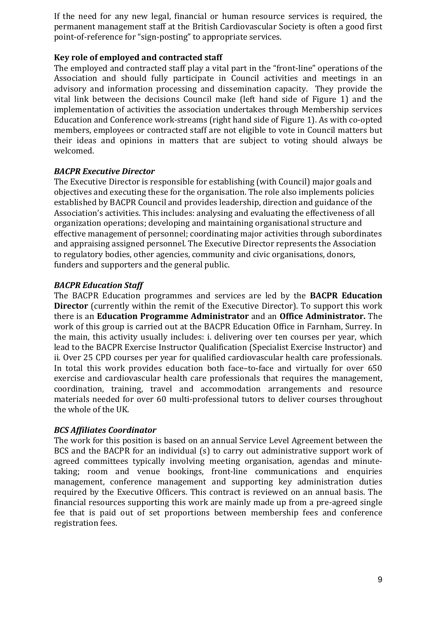If the need for any new legal, financial or human resource services is required, the permanent management staff at the British Cardiovascular Society is often a good first point-of-reference for "sign-posting" to appropriate services.

#### **Key role of employed and contracted staff**

The employed and contracted staff play a vital part in the "front-line" operations of the Association and should fully participate in Council activities and meetings in an advisory and information processing and dissemination capacity. They provide the vital link between the decisions Council make (left hand side of Figure 1) and the implementation of activities the association undertakes through Membership services Education and Conference work-streams (right hand side of Figure 1). As with co-opted members, employees or contracted staff are not eligible to yote in Council matters but their ideas and opinions in matters that are subject to voting should always be welcomed.

#### *BACPR Executive Director*

The Executive Director is responsible for establishing (with Council) major goals and objectives and executing these for the organisation. The role also implements policies established by BACPR Council and provides leadership, direction and guidance of the Association's activities. This includes: analysing and evaluating the effectiveness of all organization operations; developing and maintaining organisational structure and effective management of personnel; coordinating major activities through subordinates and appraising assigned personnel. The Executive Director represents the Association to regulatory bodies, other agencies, community and civic organisations, donors, funders and supporters and the general public.

#### *BACPR Education Staff*

The BACPR Education programmes and services are led by the **BACPR Education Director** (currently within the remit of the Executive Director). To support this work there is an **Education Programme Administrator** and an **Office Administrator**. The work of this group is carried out at the BACPR Education Office in Farnham, Surrey. In the main, this activity usually includes: i. delivering over ten courses per year, which lead to the BACPR Exercise Instructor Qualification (Specialist Exercise Instructor) and ii. Over 25 CPD courses per year for qualified cardiovascular health care professionals. In total this work provides education both face-to-face and virtually for over 650 exercise and cardiovascular health care professionals that requires the management, coordination, training, travel and accommodation arrangements and resource materials needed for over 60 multi-professional tutors to deliver courses throughout the whole of the UK.

#### *BCS Affiliates Coordinator*

The work for this position is based on an annual Service Level Agreement between the BCS and the BACPR for an individual  $(s)$  to carry out administrative support work of agreed committees typically involving meeting organisation, agendas and minutetaking; room and venue bookings, front-line communications and enquiries management, conference management and supporting key administration duties required by the Executive Officers. This contract is reviewed on an annual basis. The financial resources supporting this work are mainly made up from a pre-agreed single fee that is paid out of set proportions between membership fees and conference registration fees.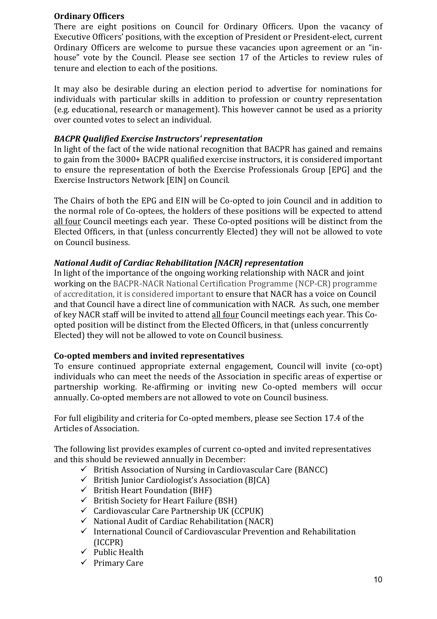#### **Ordinary Officers**

There are eight positions on Council for Ordinary Officers. Upon the vacancy of Executive Officers' positions, with the exception of President or President-elect, current Ordinary Officers are welcome to pursue these vacancies upon agreement or an "inhouse" vote by the Council. Please see section 17 of the Articles to review rules of tenure and election to each of the positions.

It may also be desirable during an election period to advertise for nominations for individuals with particular skills in addition to profession or country representation (e.g. educational, research or management). This however cannot be used as a priority over counted votes to select an individual.

## *BACPR Qualified Exercise Instructors' representation*

In light of the fact of the wide national recognition that BACPR has gained and remains to gain from the 3000+ BACPR qualified exercise instructors, it is considered important to ensure the representation of both the Exercise Professionals Group [EPG] and the Exercise Instructors Network [EIN] on Council.

The Chairs of both the EPG and EIN will be Co-opted to join Council and in addition to the normal role of Co-optees, the holders of these positions will be expected to attend all four Council meetings each year. These Co-opted positions will be distinct from the Elected Officers, in that (unless concurrently Elected) they will not be allowed to vote on Council business.

## *National Audit of Cardiac Rehabilitation [NACR] representation*

In light of the importance of the ongoing working relationship with NACR and joint working on the BACPR-NACR National Certification Programme (NCP-CR) programme of accreditation, it is considered important to ensure that NACR has a voice on Council and that Council have a direct line of communication with NACR. As such, one member of key NACR staff will be invited to attend all four Council meetings each year. This Coopted position will be distinct from the Elected Officers, in that (unless concurrently Elected) they will not be allowed to vote on Council business.

#### **Co-opted members and invited representatives**

To ensure continued appropriate external engagement, Council will invite (co-opt) individuals who can meet the needs of the Association in specific areas of expertise or partnership working. Re-affirming or inviting new Co-opted members will occur annually. Co-opted members are not allowed to vote on Council business.

For full eligibility and criteria for Co-opted members, please see Section 17.4 of the Articles of Association.

The following list provides examples of current co-opted and invited representatives and this should be reviewed annually in December:

- $\checkmark$  British Association of Nursing in Cardiovascular Care (BANCC)
- $\checkmark$  British Junior Cardiologist's Association (BICA)
- $\checkmark$  British Heart Foundation (BHF)
- $\checkmark$  British Society for Heart Failure (BSH)
- $\checkmark$  Cardiovascular Care Partnership UK (CCPUK)
- $\checkmark$  National Audit of Cardiac Rehabilitation (NACR)
- $\checkmark$  International Council of Cardiovascular Prevention and Rehabilitation (ICCPR)
- $\checkmark$  Public Health
- $\checkmark$  Primary Care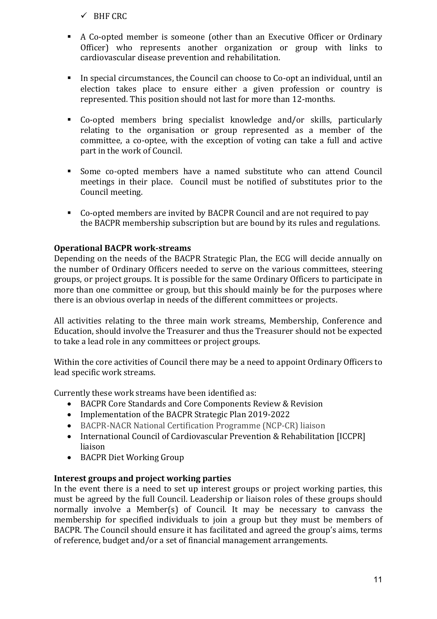$\checkmark$  BHF CRC

- A Co-opted member is someone (other than an Executive Officer or Ordinary Officer) who represents another organization or group with links to cardiovascular disease prevention and rehabilitation.
- **•** In special circumstances, the Council can choose to Co-opt an individual, until an election takes place to ensure either a given profession or country is represented. This position should not last for more than 12-months.
- § Co-opted members bring specialist knowledge and/or skills, particularly relating to the organisation or group represented as a member of the committee, a co-optee, with the exception of voting can take a full and active part in the work of Council.
- Some co-opted members have a named substitute who can attend Council meetings in their place. Council must be notified of substitutes prior to the Council meeting.
- Co-opted members are invited by BACPR Council and are not required to pay the BACPR membership subscription but are bound by its rules and regulations.

## **Operational BACPR work-streams**

Depending on the needs of the BACPR Strategic Plan, the ECG will decide annually on the number of Ordinary Officers needed to serve on the various committees, steering groups, or project groups. It is possible for the same Ordinary Officers to participate in more than one committee or group, but this should mainly be for the purposes where there is an obvious overlap in needs of the different committees or projects.

All activities relating to the three main work streams, Membership, Conference and Education, should involve the Treasurer and thus the Treasurer should not be expected to take a lead role in any committees or project groups.

Within the core activities of Council there may be a need to appoint Ordinary Officers to lead specific work streams.

Currently these work streams have been identified as:

- BACPR Core Standards and Core Components Review & Revision
- Implementation of the BACPR Strategic Plan 2019-2022
- BACPR-NACR National Certification Programme (NCP-CR) liaison
- International Council of Cardiovascular Prevention & Rehabilitation [ICCPR] liaison
- BACPR Diet Working Group

#### **Interest groups and project working parties**

In the event there is a need to set up interest groups or project working parties, this must be agreed by the full Council. Leadership or liaison roles of these groups should normally involve a Member(s) of Council. It may be necessary to canvass the membership for specified individuals to join a group but they must be members of BACPR. The Council should ensure it has facilitated and agreed the group's aims, terms of reference, budget and/or a set of financial management arrangements.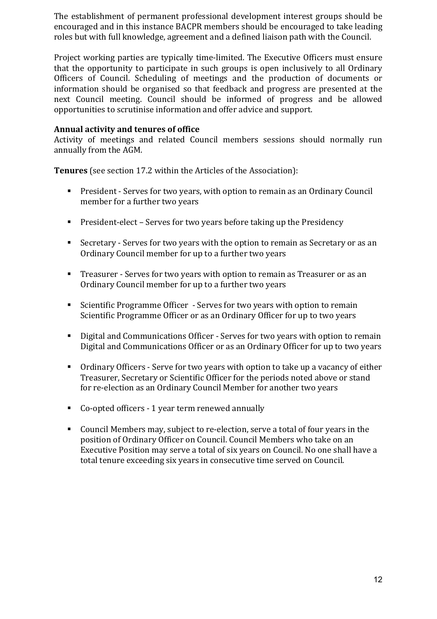The establishment of permanent professional development interest groups should be encouraged and in this instance BACPR members should be encouraged to take leading roles but with full knowledge, agreement and a defined liaison path with the Council.

Project working parties are typically time-limited. The Executive Officers must ensure that the opportunity to participate in such groups is open inclusively to all Ordinary Officers of Council. Scheduling of meetings and the production of documents or information should be organised so that feedback and progress are presented at the next Council meeting. Council should be informed of progress and be allowed opportunities to scrutinise information and offer advice and support.

#### **Annual activity and tenures of office**

Activity of meetings and related Council members sessions should normally run annually from the AGM.

**Tenures** (see section 17.2 within the Articles of the Association):

- President Serves for two years, with option to remain as an Ordinary Council member for a further two years
- **•** President-elect Serves for two years before taking up the Presidency
- Secretary Serves for two years with the option to remain as Secretary or as an Ordinary Council member for up to a further two years
- Treasurer Serves for two years with option to remain as Treasurer or as an Ordinary Council member for up to a further two years
- Scientific Programme Officer Serves for two years with option to remain Scientific Programme Officer or as an Ordinary Officer for up to two years
- Digital and Communications Officer Serves for two years with option to remain Digital and Communications Officer or as an Ordinary Officer for up to two years
- Ordinary Officers Serve for two years with option to take up a vacancy of either Treasurer, Secretary or Scientific Officer for the periods noted above or stand for re-election as an Ordinary Council Member for another two years
- Co-opted officers 1 year term renewed annually
- Council Members may, subject to re-election, serve a total of four years in the position of Ordinary Officer on Council. Council Members who take on an Executive Position may serve a total of six years on Council. No one shall have a total tenure exceeding six years in consecutive time served on Council.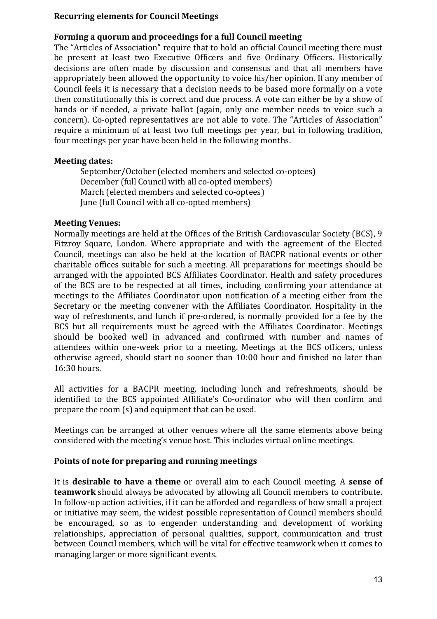#### **Recurring elements for Council Meetings**

## Forming a quorum and proceedings for a full Council meeting

The "Articles of Association" require that to hold an official Council meeting there must be present at least two Executive Officers and five Ordinary Officers. Historically decisions are often made by discussion and consensus and that all members have appropriately been allowed the opportunity to voice his/her opinion. If any member of Council feels it is necessary that a decision needs to be based more formally on a vote then constitutionally this is correct and due process. A vote can either be by a show of hands or if needed, a private ballot (again, only one member needs to voice such a concern). Co-opted representatives are not able to vote. The "Articles of Association" require a minimum of at least two full meetings per year, but in following tradition, four meetings per year have been held in the following months.

#### **Meeting dates:**

September/October (elected members and selected co-optees) December (full Council with all co-opted members) March (elected members and selected co-optees) June (full Council with all co-opted members)

#### **Meeting Venues:**

Normally meetings are held at the Offices of the British Cardiovascular Society (BCS), 9 Fitzroy Square, London. Where appropriate and with the agreement of the Elected Council, meetings can also be held at the location of BACPR national events or other charitable offices suitable for such a meeting. All preparations for meetings should be arranged with the appointed BCS Affiliates Coordinator. Health and safety procedures of the BCS are to be respected at all times, including confirming your attendance at meetings to the Affiliates Coordinator upon notification of a meeting either from the Secretary or the meeting convener with the Affiliates Coordinator. Hospitality in the way of refreshments, and lunch if pre-ordered, is normally provided for a fee by the BCS but all requirements must be agreed with the Affiliates Coordinator. Meetings should be booked well in advanced and confirmed with number and names of attendees within one-week prior to a meeting. Meetings at the BCS officers, unless otherwise agreed, should start no sooner than 10:00 hour and finished no later than 16:30 hours.

All activities for a BACPR meeting, including lunch and refreshments, should be identified to the BCS appointed Affiliate's Co-ordinator who will then confirm and prepare the room  $(s)$  and equipment that can be used.

Meetings can be arranged at other venues where all the same elements above being considered with the meeting's venue host. This includes virtual online meetings.

## Points of note for preparing and running meetings

It is **desirable to have a theme** or overall aim to each Council meeting. A **sense of teamwork** should always be advocated by allowing all Council members to contribute. In follow-up action activities, if it can be afforded and regardless of how small a project or initiative may seem, the widest possible representation of Council members should be encouraged, so as to engender understanding and development of working relationships, appreciation of personal qualities, support, communication and trust between Council members, which will be vital for effective teamwork when it comes to managing larger or more significant events.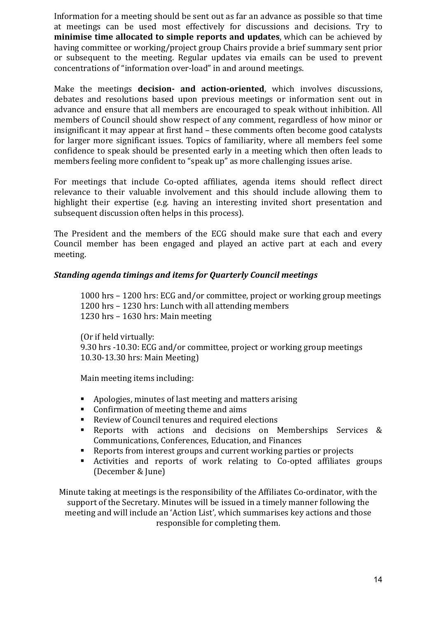Information for a meeting should be sent out as far an advance as possible so that time at meetings can be used most effectively for discussions and decisions. Try to **minimise time allocated to simple reports and updates**, which can be achieved by having committee or working/project group Chairs provide a brief summary sent prior or subsequent to the meeting. Regular updates via emails can be used to prevent concentrations of "information over-load" in and around meetings.

Make the meetings **decision- and action-oriented**, which involves discussions, debates and resolutions based upon previous meetings or information sent out in advance and ensure that all members are encouraged to speak without inhibition. All members of Council should show respect of any comment, regardless of how minor or insignificant it may appear at first hand – these comments often become good catalysts for larger more significant issues. Topics of familiarity, where all members feel some confidence to speak should be presented early in a meeting which then often leads to members feeling more confident to "speak up" as more challenging issues arise.

For meetings that include Co-opted affiliates, agenda items should reflect direct relevance to their valuable involvement and this should include allowing them to highlight their expertise (e.g. having an interesting invited short presentation and subsequent discussion often helps in this process).

The President and the members of the ECG should make sure that each and every Council member has been engaged and played an active part at each and every meeting.

## *Standing agenda timings and items for Quarterly Council meetings*

1000 hrs – 1200 hrs: ECG and/or committee, project or working group meetings 1200 hrs - 1230 hrs: Lunch with all attending members 1230 hrs - 1630 hrs: Main meeting

(Or if held virtually: 9.30 hrs -10.30: ECG and/or committee, project or working group meetings 10.30-13.30 hrs: Main Meeting)

Main meeting items including:

- Apologies, minutes of last meeting and matters arising
- Confirmation of meeting theme and aims
- Review of Council tenures and required elections
- Reports with actions and decisions on Memberships Services & Communications, Conferences, Education, and Finances
- Reports from interest groups and current working parties or projects
- Activities and reports of work relating to Co-opted affiliates groups (December & June)

Minute taking at meetings is the responsibility of the Affiliates Co-ordinator, with the support of the Secretary. Minutes will be issued in a timely manner following the meeting and will include an 'Action List', which summarises key actions and those responsible for completing them.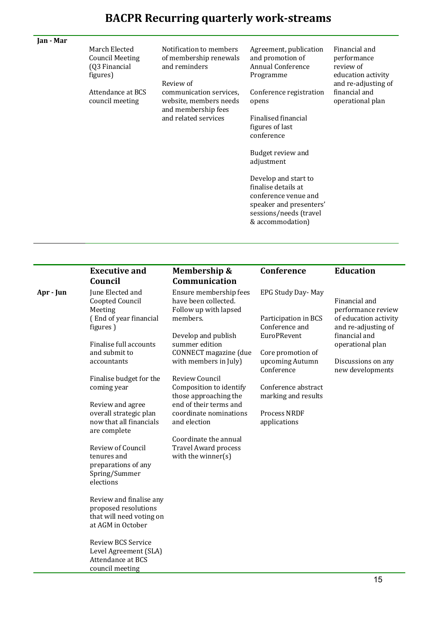# **BACPR Recurring quarterly work-streams**

| Jan - Mar |                                                               |                                                                                 |                                                                                                                                              |                                                                                        |
|-----------|---------------------------------------------------------------|---------------------------------------------------------------------------------|----------------------------------------------------------------------------------------------------------------------------------------------|----------------------------------------------------------------------------------------|
|           | March Elected<br>Council Meeting<br>(Q3 Financial<br>figures) | Notification to members<br>of membership renewals<br>and reminders<br>Review of | Agreement, publication<br>and promotion of<br><b>Annual Conference</b><br>Programme                                                          | Financial and<br>performance<br>review of<br>education activity<br>and re-adjusting of |
|           | Attendance at BCS<br>council meeting                          | communication services.<br>website, members needs<br>and membership fees        | Conference registration<br>opens                                                                                                             | financial and<br>operational plan                                                      |
|           |                                                               | and related services                                                            | Finalised financial<br>figures of last<br>conference                                                                                         |                                                                                        |
|           |                                                               |                                                                                 | Budget review and<br>adjustment                                                                                                              |                                                                                        |
|           |                                                               |                                                                                 | Develop and start to<br>finalise details at<br>conference venue and<br>speaker and presenters'<br>sessions/needs (travel<br>& accommodation) |                                                                                        |

|           | <b>Executive and</b><br>Council                                                                                                                                                                                                                                                                        | Membership &<br>Communication                                                                                                                                                                                                                                                                                                                                                    | Conference                                                                                                                                                                                                                    | <b>Education</b>                                                                                                                                                   |
|-----------|--------------------------------------------------------------------------------------------------------------------------------------------------------------------------------------------------------------------------------------------------------------------------------------------------------|----------------------------------------------------------------------------------------------------------------------------------------------------------------------------------------------------------------------------------------------------------------------------------------------------------------------------------------------------------------------------------|-------------------------------------------------------------------------------------------------------------------------------------------------------------------------------------------------------------------------------|--------------------------------------------------------------------------------------------------------------------------------------------------------------------|
| Apr - Jun | June Elected and<br>Coopted Council<br>Meeting<br>(End of year financial<br>figures)<br>Finalise full accounts<br>and submit to<br>accountants<br>Finalise budget for the<br>coming year<br>Review and agree<br>overall strategic plan<br>now that all financials<br>are complete<br>Review of Council | Ensure membership fees<br>have been collected.<br>Follow up with lapsed<br>members.<br>Develop and publish<br>summer edition<br>CONNECT magazine (due<br>with members in July)<br>Review Council<br>Composition to identify<br>those approaching the<br>end of their terms and<br>coordinate nominations<br>and election<br>Coordinate the annual<br><b>Travel Award process</b> | EPG Study Day- May<br>Participation in BCS<br>Conference and<br><b>EuroPRevent</b><br>Core promotion of<br>upcoming Autumn<br>Conference<br>Conference abstract<br>marking and results<br><b>Process NRDF</b><br>applications | Financial and<br>performance review<br>of education activity<br>and re-adjusting of<br>financial and<br>operational plan<br>Discussions on any<br>new developments |
|           | tenures and<br>preparations of any<br>Spring/Summer<br>elections<br>Review and finalise any<br>proposed resolutions<br>that will need voting on<br>at AGM in October<br><b>Review BCS Service</b><br>Level Agreement (SLA)<br>Attendance at BCS<br>council meeting                                     | with the winner(s)                                                                                                                                                                                                                                                                                                                                                               |                                                                                                                                                                                                                               |                                                                                                                                                                    |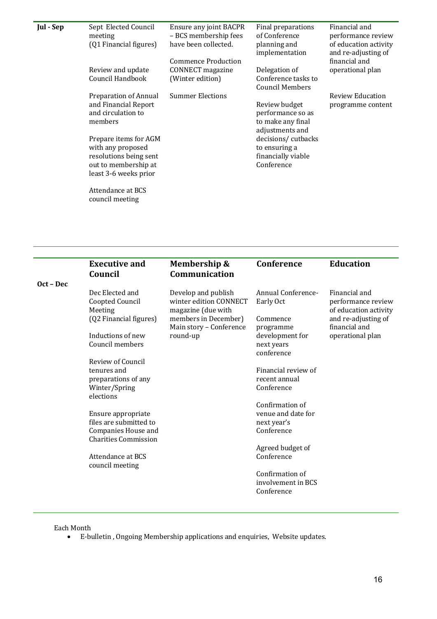| Jul - Sep | Sept Elected Council<br>meeting<br>(Q1 Financial figures)                                                             | Ensure any joint BACPR<br>- BCS membership fees<br>have been collected.<br><b>Commence Production</b> | Final preparations<br>of Conference<br>planning and<br>implementation      | Financial and<br>performance review<br>of education activity<br>and re-adjusting of<br>financial and |
|-----------|-----------------------------------------------------------------------------------------------------------------------|-------------------------------------------------------------------------------------------------------|----------------------------------------------------------------------------|------------------------------------------------------------------------------------------------------|
|           | Review and update<br>Council Handbook                                                                                 | CONNECT magazine<br>(Winter edition)                                                                  | Delegation of<br>Conference tasks to<br><b>Council Members</b>             | operational plan                                                                                     |
|           | <b>Preparation of Annual</b><br>and Financial Report<br>and circulation to<br>members                                 | <b>Summer Elections</b>                                                                               | Review budget<br>performance so as<br>to make any final<br>adjustments and | Review Education<br>programme content                                                                |
|           | Prepare items for AGM<br>with any proposed<br>resolutions being sent<br>out to membership at<br>least 3-6 weeks prior |                                                                                                       | decisions/cutbacks<br>to ensuring a<br>financially viable<br>Conference    |                                                                                                      |
|           | Attendance at BCS<br>council meeting                                                                                  |                                                                                                       |                                                                            |                                                                                                      |

|           | <b>Executive and</b><br>Council                           | Membership &<br>Communication                                       | Conference                                  | <b>Education</b>                                             |
|-----------|-----------------------------------------------------------|---------------------------------------------------------------------|---------------------------------------------|--------------------------------------------------------------|
| Oct - Dec |                                                           |                                                                     |                                             |                                                              |
|           | Dec Elected and<br>Coopted Council<br>Meeting             | Develop and publish<br>winter edition CONNECT<br>magazine (due with | Annual Conference-<br>Early Oct             | Financial and<br>performance review<br>of education activity |
|           | (Q2 Financial figures)                                    | members in December)<br>Main story - Conference                     | Commence<br>programme                       | and re-adjusting of<br>financial and                         |
|           | Inductions of new<br>Council members                      | round-up                                                            | development for<br>next years<br>conference | operational plan                                             |
|           | Review of Council                                         |                                                                     |                                             |                                                              |
|           | tenures and                                               |                                                                     | Financial review of                         |                                                              |
|           | preparations of any                                       |                                                                     | recent annual                               |                                                              |
|           | Winter/Spring<br>elections                                |                                                                     | Conference                                  |                                                              |
|           |                                                           |                                                                     | Confirmation of                             |                                                              |
|           | Ensure appropriate                                        |                                                                     | venue and date for                          |                                                              |
|           | files are submitted to                                    |                                                                     | next year's                                 |                                                              |
|           | <b>Companies House and</b><br><b>Charities Commission</b> |                                                                     | Conference                                  |                                                              |
|           |                                                           |                                                                     | Agreed budget of                            |                                                              |
|           | Attendance at BCS<br>council meeting                      |                                                                     | Conference                                  |                                                              |
|           |                                                           |                                                                     | Confirmation of                             |                                                              |
|           |                                                           |                                                                     | involvement in BCS                          |                                                              |
|           |                                                           |                                                                     | Conference                                  |                                                              |
|           |                                                           |                                                                     |                                             |                                                              |

Each Month 

• E-bulletin, Ongoing Membership applications and enquiries, Website updates.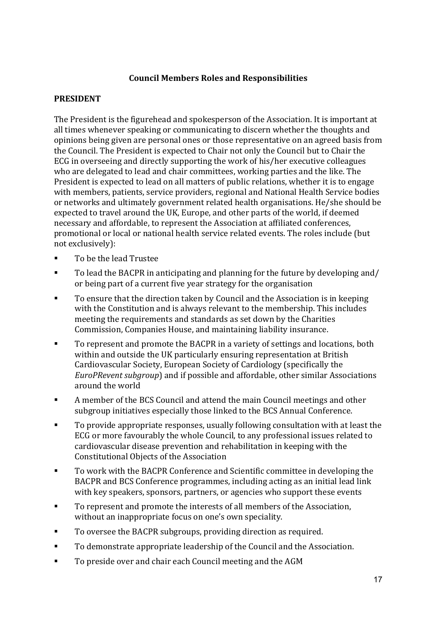## **Council Members Roles and Responsibilities**

## **PRESIDENT**

The President is the figurehead and spokesperson of the Association. It is important at all times whenever speaking or communicating to discern whether the thoughts and opinions being given are personal ones or those representative on an agreed basis from the Council. The President is expected to Chair not only the Council but to Chair the ECG in overseeing and directly supporting the work of his/her executive colleagues who are delegated to lead and chair committees, working parties and the like. The President is expected to lead on all matters of public relations, whether it is to engage with members, patients, service providers, regional and National Health Service bodies or networks and ultimately government related health organisations. He/she should be expected to travel around the UK, Europe, and other parts of the world, if deemed necessary and affordable, to represent the Association at affiliated conferences, promotional or local or national health service related events. The roles include (but not exclusively):

- To be the lead Trustee
- To lead the BACPR in anticipating and planning for the future by developing and/ or being part of a current five year strategy for the organisation
- To ensure that the direction taken by Council and the Association is in keeping with the Constitution and is always relevant to the membership. This includes meeting the requirements and standards as set down by the Charities Commission, Companies House, and maintaining liability insurance.
- To represent and promote the BACPR in a variety of settings and locations, both within and outside the UK particularly ensuring representation at British Cardiovascular Society, European Society of Cardiology (specifically the *EuroPRevent subgroup*) and if possible and affordable, other similar Associations around the world
- A member of the BCS Council and attend the main Council meetings and other subgroup initiatives especially those linked to the BCS Annual Conference.
- To provide appropriate responses, usually following consultation with at least the ECG or more favourably the whole Council, to any professional issues related to cardiovascular disease prevention and rehabilitation in keeping with the Constitutional Objects of the Association
- To work with the BACPR Conference and Scientific committee in developing the BACPR and BCS Conference programmes, including acting as an initial lead link with key speakers, sponsors, partners, or agencies who support these events
- To represent and promote the interests of all members of the Association, without an inappropriate focus on one's own speciality.
- To oversee the BACPR subgroups, providing direction as required.
- To demonstrate appropriate leadership of the Council and the Association.
- To preside over and chair each Council meeting and the AGM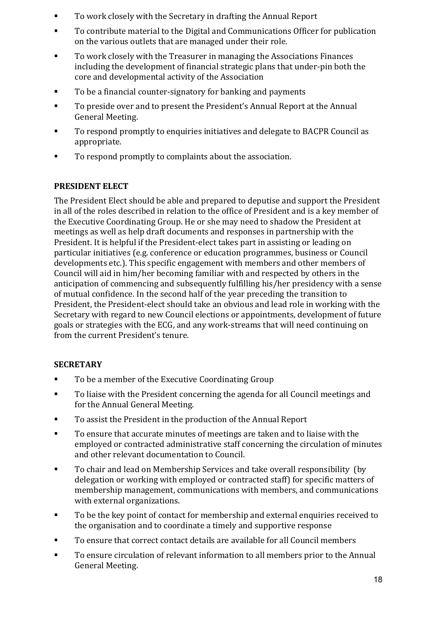- To work closely with the Secretary in drafting the Annual Report
- To contribute material to the Digital and Communications Officer for publication on the various outlets that are managed under their role.
- To work closely with the Treasurer in managing the Associations Finances including the development of financial strategic plans that under-pin both the core and developmental activity of the Association
- To be a financial counter-signatory for banking and payments
- To preside over and to present the President's Annual Report at the Annual General Meeting.
- To respond promptly to enquiries initiatives and delegate to BACPR Council as appropriate.
- To respond promptly to complaints about the association.

## **PRESIDENT ELECT**

The President Elect should be able and prepared to deputise and support the President in all of the roles described in relation to the office of President and is a key member of the Executive Coordinating Group. He or she may need to shadow the President at meetings as well as help draft documents and responses in partnership with the President. It is helpful if the President-elect takes part in assisting or leading on particular initiatives (e.g. conference or education programmes, business or Council developments etc.). This specific engagement with members and other members of Council will aid in him/her becoming familiar with and respected by others in the anticipation of commencing and subsequently fulfilling his/her presidency with a sense of mutual confidence. In the second half of the vear preceding the transition to President, the President-elect should take an obvious and lead role in working with the Secretary with regard to new Council elections or appointments, development of future goals or strategies with the ECG, and any work-streams that will need continuing on from the current President's tenure.

## **SECRETARY**

- To be a member of the Executive Coordinating Group
- To liaise with the President concerning the agenda for all Council meetings and for the Annual General Meeting.
- To assist the President in the production of the Annual Report
- To ensure that accurate minutes of meetings are taken and to liaise with the employed or contracted administrative staff concerning the circulation of minutes and other relevant documentation to Council.
- To chair and lead on Membership Services and take overall responsibility (by delegation or working with employed or contracted staff) for specific matters of membership management, communications with members, and communications with external organizations.
- To be the key point of contact for membership and external enquiries received to the organisation and to coordinate a timely and supportive response
- To ensure that correct contact details are available for all Council members
- To ensure circulation of relevant information to all members prior to the Annual General Meeting.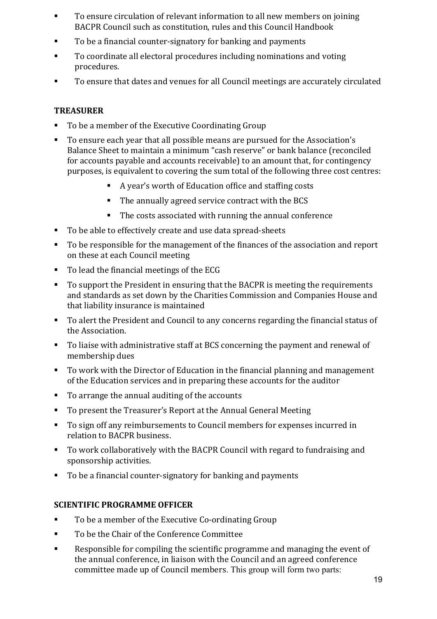- To ensure circulation of relevant information to all new members on joining BACPR Council such as constitution, rules and this Council Handbook
- To be a financial counter-signatory for banking and payments
- To coordinate all electoral procedures including nominations and voting procedures.
- To ensure that dates and venues for all Council meetings are accurately circulated

## **TREASURER**

- To be a member of the Executive Coordinating Group
- To ensure each year that all possible means are pursued for the Association's Balance Sheet to maintain a minimum "cash reserve" or bank balance (reconciled for accounts payable and accounts receivable) to an amount that, for contingency purposes, is equivalent to covering the sum total of the following three cost centres:
	- A year's worth of Education office and staffing costs
	- The annually agreed service contract with the BCS
	- The costs associated with running the annual conference
- To be able to effectively create and use data spread-sheets
- To be responsible for the management of the finances of the association and report on these at each Council meeting
- To lead the financial meetings of the ECG
- To support the President in ensuring that the BACPR is meeting the requirements and standards as set down by the Charities Commission and Companies House and that liability insurance is maintained
- To alert the President and Council to any concerns regarding the financial status of the Association.
- To liaise with administrative staff at BCS concerning the payment and renewal of membership dues
- To work with the Director of Education in the financial planning and management of the Education services and in preparing these accounts for the auditor
- To arrange the annual auditing of the accounts
- To present the Treasurer's Report at the Annual General Meeting
- To sign off any reimbursements to Council members for expenses incurred in relation to BACPR business.
- To work collaboratively with the BACPR Council with regard to fundraising and sponsorship activities.
- To be a financial counter-signatory for banking and payments

## **SCIENTIFIC PROGRAMME OFFICER**

- To be a member of the Executive Co-ordinating Group
- To be the Chair of the Conference Committee
- **EXECOM** Responsible for compiling the scientific programme and managing the event of the annual conference, in liaison with the Council and an agreed conference committee made up of Council members. This group will form two parts: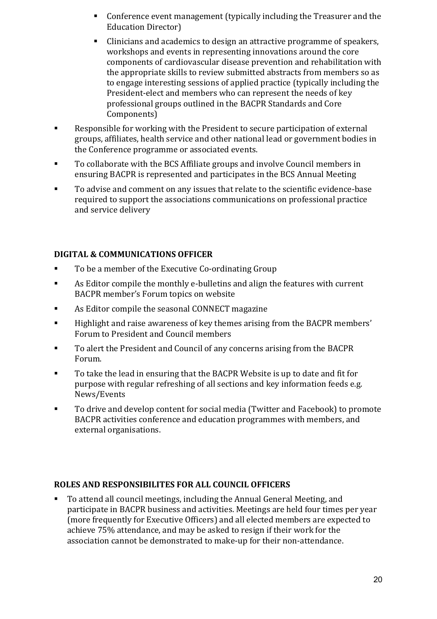- Conference event management (typically including the Treasurer and the Education Director)
- Clinicians and academics to design an attractive programme of speakers, workshops and events in representing innovations around the core components of cardiovascular disease prevention and rehabilitation with the appropriate skills to review submitted abstracts from members so as to engage interesting sessions of applied practice (typically including the President-elect and members who can represent the needs of key professional groups outlined in the BACPR Standards and Core Components)
- Responsible for working with the President to secure participation of external groups, affiliates, health service and other national lead or government bodies in the Conference programme or associated events.
- To collaborate with the BCS Affiliate groups and involve Council members in ensuring BACPR is represented and participates in the BCS Annual Meeting
- To advise and comment on any issues that relate to the scientific evidence-base required to support the associations communications on professional practice and service delivery

## **DIGITAL & COMMUNICATIONS OFFICER**

- To be a member of the Executive Co-ordinating Group
- **As Editor compile the monthly e-bulletins and align the features with current** BACPR member's Forum topics on website
- **As Editor compile the seasonal CONNECT magazine**
- **EXECT:** Highlight and raise awareness of key themes arising from the BACPR members' Forum to President and Council members
- To alert the President and Council of any concerns arising from the BACPR Forum.
- To take the lead in ensuring that the BACPR Website is up to date and fit for purpose with regular refreshing of all sections and key information feeds e.g. News/Events
- To drive and develop content for social media (Twitter and Facebook) to promote BACPR activities conference and education programmes with members, and external organisations.

#### **ROLES AND RESPONSIBILITES FOR ALL COUNCIL OFFICERS**

• To attend all council meetings, including the Annual General Meeting, and participate in BACPR business and activities. Meetings are held four times per year (more frequently for Executive Officers) and all elected members are expected to achieve 75% attendance, and may be asked to resign if their work for the association cannot be demonstrated to make-up for their non-attendance.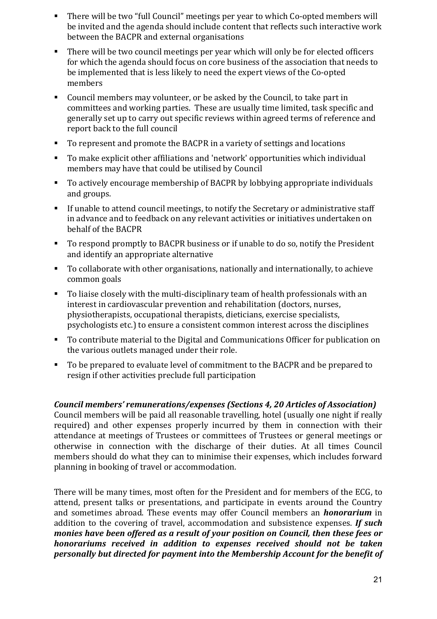- There will be two "full Council" meetings per year to which Co-opted members will be invited and the agenda should include content that reflects such interactive work between the BACPR and external organisations
- There will be two council meetings per year which will only be for elected officers for which the agenda should focus on core business of the association that needs to be implemented that is less likely to need the expert views of the Co-opted members
- Council members may volunteer, or be asked by the Council, to take part in committees and working parties. These are usually time limited, task specific and generally set up to carry out specific reviews within agreed terms of reference and report back to the full council
- To represent and promote the BACPR in a variety of settings and locations
- To make explicit other affiliations and 'network' opportunities which individual members may have that could be utilised by Council
- To actively encourage membership of BACPR by lobbying appropriate individuals and groups.
- If unable to attend council meetings, to notify the Secretary or administrative staff in advance and to feedback on any relevant activities or initiatives undertaken on behalf of the BACPR
- To respond promptly to BACPR business or if unable to do so, notify the President and identify an appropriate alternative
- To collaborate with other organisations, nationally and internationally, to achieve common goals
- $\blacksquare$  To liaise closely with the multi-disciplinary team of health professionals with an interest in cardiovascular prevention and rehabilitation (doctors, nurses, physiotherapists, occupational therapists, dieticians, exercise specialists, psychologists etc.) to ensure a consistent common interest across the disciplines
- To contribute material to the Digital and Communications Officer for publication on the various outlets managed under their role.
- To be prepared to evaluate level of commitment to the BACPR and be prepared to resign if other activities preclude full participation

## *Council members' remunerations/expenses (Sections 4, 20 Articles of Association)*

Council members will be paid all reasonable travelling, hotel (usually one night if really required) and other expenses properly incurred by them in connection with their attendance at meetings of Trustees or committees of Trustees or general meetings or otherwise in connection with the discharge of their duties. At all times Council members should do what they can to minimise their expenses, which includes forward planning in booking of travel or accommodation.

There will be many times, most often for the President and for members of the ECG, to attend, present talks or presentations, and participate in events around the Country and sometimes abroad. These events may offer Council members an *honorarium* in addition to the covering of travel, accommodation and subsistence expenses. *If such monies have been offered as a result of your position on Council, then these fees or honorariums received in addition to expenses received should not be taken personally but directed for payment into the Membership Account for the benefit of*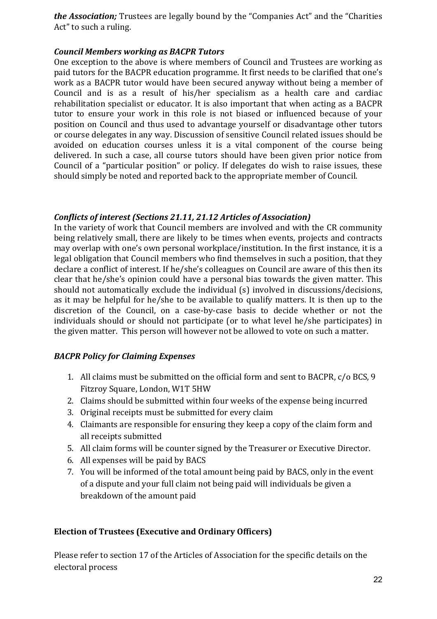*the Association;* Trustees are legally bound by the "Companies Act" and the "Charities Act" to such a ruling.

### *Council Members working as BACPR Tutors*

One exception to the above is where members of Council and Trustees are working as paid tutors for the BACPR education programme. It first needs to be clarified that one's work as a BACPR tutor would have been secured anyway without being a member of Council and is as a result of his/her specialism as a health care and cardiac rehabilitation specialist or educator. It is also important that when acting as a BACPR tutor to ensure your work in this role is not biased or influenced because of your position on Council and thus used to advantage yourself or disadvantage other tutors or course delegates in any way. Discussion of sensitive Council related issues should be avoided on education courses unless it is a vital component of the course being delivered. In such a case, all course tutors should have been given prior notice from Council of a "particular position" or policy. If delegates do wish to raise issues, these should simply be noted and reported back to the appropriate member of Council.

#### **Conflicts of interest (Sections 21.11, 21.12 Articles of Association)**

In the variety of work that Council members are involved and with the CR community being relatively small, there are likely to be times when events, projects and contracts may overlap with one's own personal workplace/institution. In the first instance, it is a legal obligation that Council members who find themselves in such a position, that they declare a conflict of interest. If he/she's colleagues on Council are aware of this then its clear that he/she's opinion could have a personal bias towards the given matter. This should not automatically exclude the individual (s) involved in discussions/decisions, as it may be helpful for he/she to be available to qualify matters. It is then up to the discretion of the Council, on a case-by-case basis to decide whether or not the individuals should or should not participate (or to what level he/she participates) in the given matter. This person will however not be allowed to vote on such a matter.

## *BACPR Policy for Claiming Expenses*

- 1. All claims must be submitted on the official form and sent to BACPR, c/o BCS, 9 Fitzroy Square, London, W1T 5HW
- 2. Claims should be submitted within four weeks of the expense being incurred
- 3. Original receipts must be submitted for every claim
- 4. Claimants are responsible for ensuring they keep a copy of the claim form and all receipts submitted
- 5. All claim forms will be counter signed by the Treasurer or Executive Director.
- 6. All expenses will be paid by BACS
- 7. You will be informed of the total amount being paid by BACS, only in the event of a dispute and your full claim not being paid will individuals be given a breakdown of the amount paid

## **Election of Trustees (Executive and Ordinary Officers)**

Please refer to section 17 of the Articles of Association for the specific details on the electoral process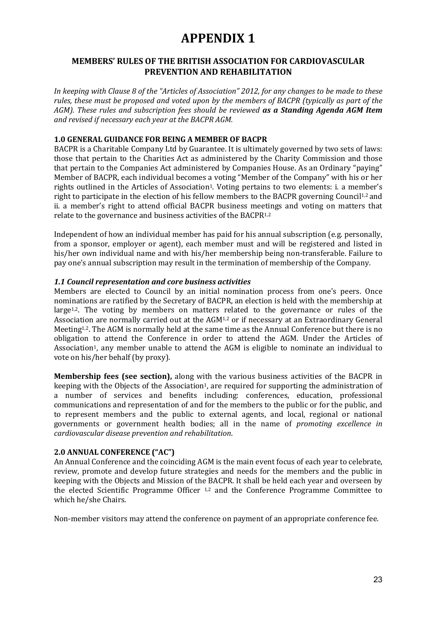## **APPENDIX 1**

## **MEMBERS' RULES OF THE BRITISH ASSOCIATION FOR CARDIOVASCULAR PREVENTION AND REHABILITATION**

In keeping with Clause 8 of the "Articles of Association" 2012, for any changes to be made to these rules, these must be proposed and voted upon by the members of BACPR (typically as part of the *AGM*). These rules and subscription fees should be reviewed **as a Standing Agenda AGM Item** *and revised if necessary each year at the BACPR AGM.*

#### **1.0 GENERAL GUIDANCE FOR BEING A MEMBER OF BACPR**

BACPR is a Charitable Company Ltd by Guarantee. It is ultimately governed by two sets of laws: those that pertain to the Charities Act as administered by the Charity Commission and those that pertain to the Companies Act administered by Companies House. As an Ordinary "paying" Member of BACPR, each individual becomes a voting "Member of the Company" with his or her rights outlined in the Articles of Association<sup>1</sup>. Voting pertains to two elements: i. a member's right to participate in the election of his fellow members to the BACPR governing Council<sup>1,2</sup> and ii. a member's right to attend official BACPR business meetings and voting on matters that relate to the governance and business activities of the BACPR $1,2$ 

Independent of how an individual member has paid for his annual subscription  $(e.g.,$  personally, from a sponsor, employer or agent), each member must and will be registered and listed in his/her own individual name and with his/her membership being non-transferable. Failure to pay one's annual subscription may result in the termination of membership of the Company.

#### *1.1 Council representation and core business activities*

Members are elected to Council by an initial nomination process from one's peers. Once nominations are ratified by the Secretary of BACPR, an election is held with the membership at large<sup>1,2</sup>. The voting by members on matters related to the governance or rules of the Association are normally carried out at the  $AGM<sup>1,2</sup>$  or if necessary at an Extraordinary General Meeting<sup>1,2</sup>. The AGM is normally held at the same time as the Annual Conference but there is no obligation to attend the Conference in order to attend the AGM. Under the Articles of Association<sup>1</sup>, any member unable to attend the AGM is eligible to nominate an individual to vote on his/her behalf (by proxy).

**Membership fees (see section),** along with the various business activities of the BACPR in keeping with the Objects of the Association<sup>1</sup>, are required for supporting the administration of a number of services and benefits including: conferences, education, professional communications and representation of and for the members to the public or for the public, and to represent members and the public to external agents, and local, regional or national governments or government health bodies; all in the name of *promoting excellence in cardiovascular disease prevention and rehabilitation*.

#### **2.0 ANNUAL CONFERENCE ("AC")**

An Annual Conference and the coinciding AGM is the main event focus of each year to celebrate, review, promote and develop future strategies and needs for the members and the public in keeping with the Objects and Mission of the BACPR. It shall be held each year and overseen by the elected Scientific Programme Officer  $1,2$  and the Conference Programme Committee to which he/she Chairs.

Non-member visitors may attend the conference on payment of an appropriate conference fee.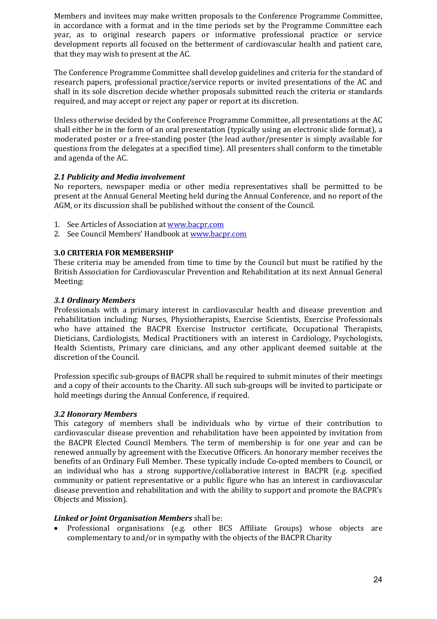Members and invitees may make written proposals to the Conference Programme Committee, in accordance with a format and in the time periods set by the Programme Committee each year, as to original research papers or informative professional practice or service development reports all focused on the betterment of cardiovascular health and patient care, that they may wish to present at the AC.

The Conference Programme Committee shall develop guidelines and criteria for the standard of research papers, professional practice/service reports or invited presentations of the AC and shall in its sole discretion decide whether proposals submitted reach the criteria or standards required, and may accept or reject any paper or report at its discretion.

Unless otherwise decided by the Conference Programme Committee, all presentations at the AC shall either be in the form of an oral presentation (typically using an electronic slide format), a moderated poster or a free-standing poster (the lead author/presenter is simply available for questions from the delegates at a specified time). All presenters shall conform to the timetable and agenda of the AC.

#### *2.1 Publicity and Media involvement*

No reporters, newspaper media or other media representatives shall be permitted to be present at the Annual General Meeting held during the Annual Conference, and no report of the AGM, or its discussion shall be published without the consent of the Council.

- 1. See Articles of Association at www.bacpr.com
- 2. See Council Members' Handbook at www.bacpr.com

#### **3.0 CRITERIA FOR MEMBERSHIP**

These criteria may be amended from time to time by the Council but must be ratified by the British Association for Cardiovascular Prevention and Rehabilitation at its next Annual General Meeting:

#### *3.1 Ordinary Members*

Professionals with a primary interest in cardiovascular health and disease prevention and rehabilitation including: Nurses, Physiotherapists, Exercise Scientists, Exercise Professionals who have attained the BACPR Exercise Instructor certificate, Occupational Therapists, Dieticians, Cardiologists, Medical Practitioners with an interest in Cardiology, Psychologists, Health Scientists, Primary care clinicians, and any other applicant deemed suitable at the discretion of the Council.

Profession specific sub-groups of BACPR shall be required to submit minutes of their meetings and a copy of their accounts to the Charity. All such sub-groups will be invited to participate or hold meetings during the Annual Conference, if required.

#### *3.2 Honorary Members*

This category of members shall be individuals who by virtue of their contribution to cardiovascular disease prevention and rehabilitation have been appointed by invitation from the BACPR Elected Council Members. The term of membership is for one year and can be renewed annually by agreement with the Executive Officers. An honorary member receives the benefits of an Ordinary Full Member. These typically include Co-opted members to Council, or an individual who has a strong supportive/collaborative interest in BACPR (e.g. specified community or patient representative or a public figure who has an interest in cardiovascular disease prevention and rehabilitation and with the ability to support and promote the BACPR's Objects and Mission).

#### *Linked or Joint Organisation Members* shall be:

• Professional organisations (e.g. other BCS Affiliate Groups) whose objects are complementary to and/or in sympathy with the objects of the BACPR Charity